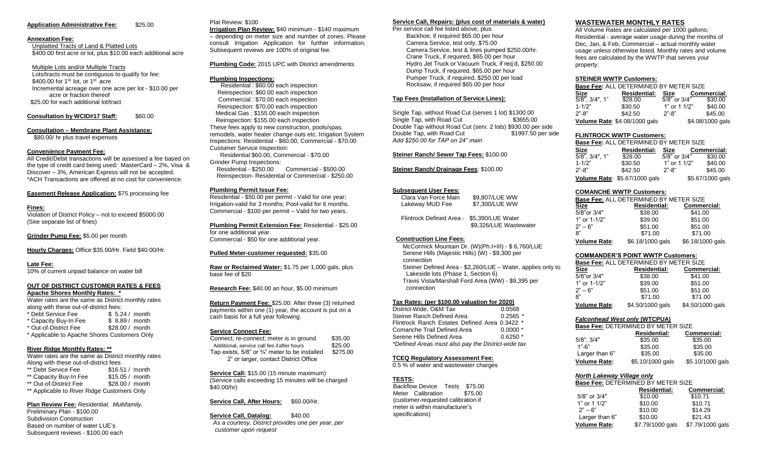**Application Administrative Fee:** \$25.00

#### **Annexation Fee:**

Unplatted Tracts of Land & Platted Lots \$400.00 first acre or lot, plus \$10.00 each additional acre

#### Multiple Lots and/or Multiple Tracts

Lots/tracts must be contiguous to qualify for fee: \$400.00 for 1<sup>st</sup> lot, or 1<sup>st</sup> acre Incremental acreage over one acre per lot - \$10.00 per acre or fraction thereof \$25.00 for each additional lot/tract

#### **Consultation by WCID#17 Staff:** \$60.00

#### **Consultation – Membrane Plant Assistance:**

\$80.00/ hr plus travel expenses

### **Convenience Payment Fee:**

All Credit/Debit transactions will be assessed a fee based on the type of credit card being used: MasterCard – 2%, Visa & Discover – 3%, American Express will not be accepted. \*ACH Transactions are offered at no cost for convenience.

**Easement Release Application:** \$75 processing fee

#### **Fines:**

Violation of District Policy – not to exceed \$5000.00 (See separate list of fines)

**Grinder Pump Fee:** \$5.00 per month

**Hourly Charges:** Office:\$35.00/Hr. Field \$40.00/Hr.

**Late Fee:** 10% of current unpaid balance on water bill

#### **OUT OF DISTRICT CUSTOMER RATES & FEES Apache Shores Monthly Rates: \***

Water rates are the same as District monthly rates along with these out-of-district fees: \* Debt Service Fee  $\begin{array}{r} \text{*} \text{ 5.24 / month} \\ \text{*} \text{ Capacity Buy-In Free} \text{ } \text{ } \text{*} \text{ } \text{ } 8.89 / month \end{array}$ 

\* Capacity Buy-In Fee \* Out-of-District Fee \$28.00 / month

\* Applicable to Apache Shores Customers Only

#### **River Ridge Monthly Rates: \*\***

Water rates are the same as District monthly rates Along with these out-of-district fees \*\* Debt Service Fee  $*$  \$16.51 / month<br>\*\* Capacity Buy-In Fee \$15.05 / month \*\* Capacity Buy-In Fee \$15.05 / month<br>\*\* Out-of-District Fee \$28.00 / month \*\* Out-of-District Fee \*\* Applicable to River Ridge Customers Only

**Plan Review Fee:** *Residential, Multifamily,* 

Preliminary Plan - \$100.00 Subdivision Construction Based on number of water LUE's Subsequent reviews - \$100.00 each

#### Plat Review: \$100

**Irrigation Plan Review:** \$40 minimum - \$140 maximum – depending on meter size and number of zones. Please consult Irrigation Application for further information. Subsequent reviews are 100% of original fee.

**Plumbing Code:** 2015 UPC with District amendments

## **Plumbing Inspections:**

Residential : \$60.00 each inspection Reinspection: \$60.00 each inspection Commercial : \$70.00 each inspection Reinspection: \$70.00 each inspection Medical Gas : \$155.00 each inspection Reinspection: \$155.00 each inspection These fees apply to new construction, pools/spas, remodels, water heater change outs etc. Irrigation System Inspections: Residential - \$60.00, Commercial - \$70.00 Customer Service Inspection: Residential \$60.00, Commercial - \$70.00 Grinder Pump Inspections: Residential - \$250.00 Commercial - \$500.00 Reinspection- Residential or Commercial - \$250.00

## **Plumbing Permit Issue Fee:**

Residential - \$50.00 per permit - Valid for one year; Irrigation-valid for 3 months; Pool-valid for 6 months. Commercial - \$100 per permit – Valid for two years.

**Plumbing Permit Extension Fee:** Residential - \$25.00 for one additional year. Commercial - \$50 for one additional year.

#### **Pulled Meter-customer requested:** \$35.00

**Raw or Reclaimed Water:** \$1.75 per 1,000 gals, plus base fee of \$20

**Research Fee:** \$40.00 an hour, \$5.00 minimum

**Return Payment Fee:** \$25.00: After three (3) returned payments within one (1) year, the account is put on a cash basis for a full year following.

#### **Service Connect Fee:**

| Connect, re-connect; meter is in ground        | \$35.00  |
|------------------------------------------------|----------|
| Additional, service call fee if after hours    | \$25.00  |
| Tap exists, 5/8" or 3/4" meter to be installed | \$275.00 |
| 2" or larger, contact District Office          |          |

**Service Call:** \$15.00 (15 minute maximum) (Service calls exceeding 15 minutes will be charged \$40.00/hr)

**Service Call, After Hours:** \$60.00/Hr.

**Service Call, Datalog:** \$40.00 *As a courtesy, District provides one per year, per customer upon request*

## **Service Call, Repairs: (plus cost of materials & water)**

Per service call fee listed above, plus Backhoe, if required \$65.00 per hour Camera Service, test only, \$75.00 Camera Service, test & lines pumped \$250.00/hr. Crane Truck, if required, \$65.00 per hour Hydro Jet Truck or Vacuum Truck, if req'd, \$250.00 Dump Truck, if required, \$65.00 per hour Pumper Truck, if required, \$250.00 per load Rocksaw, if required \$65.00 per hour

## **Tap Fees (Installation of Service Lines):**

Single Tap, without Road Cut (serves 1 lot) \$1300.00 Single Tap, with Road Cut \$3655.00 Double Tap without Road Cut (serv. 2 lots) \$930.00 per side Double Tap, with Road Cut \$1997.50 per side *Add \$250.00 for TAP on 24" main*

### **Steiner Ranch/ Sewer Tap Fees:** \$100.00

**Steiner Ranch/ Drainage Fees**: \$100.00

## **Subsequent User Fees:**

Clara Van Force Main \$9,807/LUE WW<br>Lakeway MUD Fee \$7,300/LUE WW Lakeway MUD Fee

Flintrock Defined Area - \$5,390/LUE Water \$9,326/LUE Wastewater

#### **Construction Line Fees:**

McCormick Mountain Dr. (W)(Ph.I+III) - \$ 6,760/LUE Serene Hills (Majestic Hills) (W) - \$9,300 per connection Steiner Defined Area - \$2,260/LUE – Water, applies only to Lakeside lots (Phase 1, Section 6) Travis Vista/Marshall Ford Area (WW) - \$9,395 per connection

### **Tax Rates: (per \$100.00 valuation for 2020)**

| 0.0568                                             |
|----------------------------------------------------|
| $0.2565$ *                                         |
| Flintrock Ranch Estates Defined Area 0.3422 *      |
| $0.0000*$                                          |
| $0.6250*$                                          |
| *Defined Areas must also pay the District-wide tax |
|                                                    |

#### **TCEQ Regulatory Assessment Fee:**

0.5 % of water and wastewater charges

## **TESTS:**

Backflow Device Tests \$75.00<br>Meter Calibration \$75.00 Meter Calibration (customer-requested calibration if meter is within manufacturer's specifications)

## **WASTEWATER MONTHLY RATES**

All Volume Rates are calculated per 1000 gallons; Residential - average water usage during the months of Dec, Jan, & Feb, Commercial – actual monthly water usage unless otherwise listed. Monthly rates and volume fees are calculated by the WWTP that serves your property.

#### **STEINER WWTP Customers:**

| <b>Base Fee: ALL DETERMINED BY METER SIZE</b> |                               |              |                  |
|-----------------------------------------------|-------------------------------|--------------|------------------|
| <b>Size</b>                                   | <b>Residential:</b>           | Size         | Commercial:      |
| $5/8$ ", $3/4$ ", 1"                          | \$28.00                       | 5/8" or 3/4" | \$30.00          |
| $1 - 1/2"$                                    | \$30.50                       | 1" or 1 1/2" | \$40.00          |
| $2"$ -8"                                      | \$42.50                       | $2" - 8"$    | \$45.00          |
|                                               | Volume Rate: \$4.08/1000 gals |              | \$4.08/1000 gals |

#### **FLINTROCK WWTP Customers:**

| <b>Base Fee: ALL DETERMINED BY METER SIZE</b> |                               |              |                  |
|-----------------------------------------------|-------------------------------|--------------|------------------|
| <b>Size</b>                                   | <b>Residential:</b>           | Size         | Commercial:      |
| $5/8$ ". $3/4$ ". 1"                          | \$28.00                       | 5/8" or 3/4" | \$30.00          |
| $1 - 1/2"$                                    | \$30.50                       | 1" or 1 1/2" | \$40.00          |
| $2" - 8"$                                     | \$42.50                       | $2" - 8"$    | \$45.00          |
|                                               | Volume Rate: \$5.67/1000 gals |              | \$5.67/1000 gals |

## **COMANCHE WWTP Customers:**

| <b>Base Fee: ALL DETERMINED BY METER SIZE</b> |                     |                  |
|-----------------------------------------------|---------------------|------------------|
| Size                                          | <b>Residential:</b> | Commercial:      |
| 5/8"or 3/4"                                   | \$38.00             | \$41.00          |
| 1" or 1-1/2"                                  | \$39.00             | \$51.00          |
| $2" - 6"$                                     | \$51.00             | \$51.00          |
| ጸ"                                            | \$71.00             | \$71.00          |
| Volume Rate:                                  | \$6.18/1000 gals    | \$6.18/1000 gals |

#### **COMMANDER'S POINT WWTP Customers:**

| Base Fee: ALL DETERMINED BY METER SIZE |                     |                  |
|----------------------------------------|---------------------|------------------|
| <b>Size</b>                            | <b>Residential:</b> | Commercial:      |
| 5/8"or 3/4"                            | \$38.00             | \$41.00          |
| 1" or 1-1/2"                           | \$39.00             | \$51.00          |
| $2" - 6"$                              | \$51.00             | \$51.00          |
| 8"                                     | \$71.00             | \$71.00          |
| Volume Rate:                           | \$4.50/1000 gals    | \$4.50/1000 gals |

## *Falconhead West only* **(WTCPUA)**

| Base Fee: DETERMINED BY METER SIZE |                     |                  |
|------------------------------------|---------------------|------------------|
|                                    | <b>Residential:</b> | Commercial:      |
| 5/8", 3/4"                         | \$35.00             | \$35.00          |
| 1"-6"                              | \$35.00             | \$35.00          |
| Larger than 6"                     | \$35.00             | \$35.00          |
| <b>Volume Rate:</b>                | \$5.10/1000 gals    | \$5.10/1000 gals |

| North Lakeway Village only                |                     |                  |  |
|-------------------------------------------|---------------------|------------------|--|
| <b>Base Fee: DETERMINED BY METER SIZE</b> |                     |                  |  |
|                                           | <b>Residential:</b> | Commercial:      |  |
| 5/8" or 3/4"                              | \$10.00             | \$10.71          |  |
| 1" or 1 1/2"                              | \$10.00             | \$10.71          |  |
| $2" - 6"$                                 | \$10.00             | \$14.29          |  |
| Larger than 6"                            | \$10.00             | \$21.43          |  |
| <b>Volume Rate:</b>                       | \$7.79/1000 gals    | \$7.79/1000 gals |  |